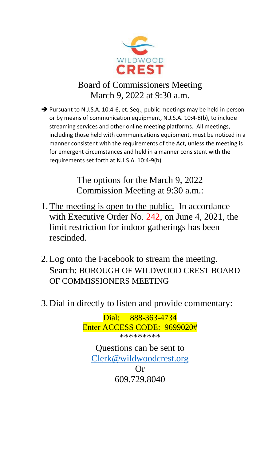

# Board of Commissioners Meeting March 9, 2022 at 9:30 a.m.

➔ Pursuant to N.J.S.A. 10:4-6, et. Seq., public meetings may be held in person or by means of communication equipment, N.J.S.A. 10:4-8(b), to include streaming services and other online meeting platforms. All meetings, including those held with communications equipment, must be noticed in a manner consistent with the requirements of the Act, unless the meeting is for emergent circumstances and held in a manner consistent with the requirements set forth at N.J.S.A. 10:4-9(b).

> The options for the March 9, 2022 Commission Meeting at 9:30 a.m.:

- 1.The meeting is open to the public. In accordance with Executive Order No. 242, on June 4, 2021, the limit restriction for indoor gatherings has been rescinded.
- 2.Log onto the Facebook to stream the meeting. Search: BOROUGH OF WILDWOOD CREST BOARD OF COMMISSIONERS MEETING
- 3. Dial in directly to listen and provide commentary:

Dial: 888-363-4734 Enter ACCESS CODE: 9699020# \*\*\*\*\*\*\*\*\* Questions can be sent to [Clerk@wildwoodcrest.org](mailto:Clerk@wildwoodcrest.org) Or 609.729.8040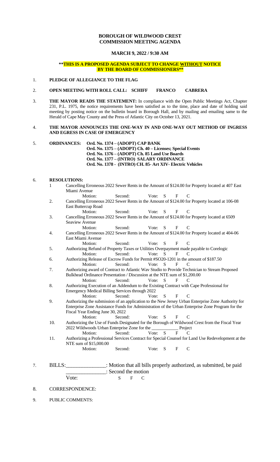# **BOROUGH OF WILDWOOD CREST COMMISSION MEETING AGENDA**

## **MARCH 9, 2022 / 9:30 AM**

## **\*\*THIS IS A PROPOSED AGENDA SUBJECT TO CHANGE WITHOUT NOTICE BY THE BOARD OF COMMISSIONERS\*\***

# 1. **PLEDGE OF ALLEGIANCE TO THE FLAG**

## 2. **OPEN MEETING WITH ROLL CALL: SCHIFF FRANCO CABRERA**

3. **THE MAYOR READS THE STATEMENT:** In compliance with the Open Public Meetings Act, Chapter 231, P.L. 1975, the notice requirements have been satisfied as to the time, place and date of holding said meeting by posting notice on the bulletin board in Borough Hall, and by mailing and emailing same to the Herald of Cape May County and the Press of Atlantic City on October 13, 2021.

#### 4. **THE MAYOR ANNOUNCES THE ONE-WAY IN AND ONE-WAY OUT METHOD OF INGRESS AND EGRESS IN CASE OF EMERGENCY**

5. **ORDINANCES: Ord. No. 1374 – (ADOPT) CAP BANK Ord. No. 1375 – (ADOPT) Ch. 40 – Licenses; Special Events Ord. No. 1376 – (ADOPT) Ch. 85 Land Use Boards Ord. No. 1377 – (INTRO) SALARY ORDINANCE Ord. No. 1378 - (INTRO) CH. 85- Art XIV- Electric Vehicles** 

## 6. **RESOLUTIONS:**

- 1 Cancelling Erroneous 2022 Sewer Rents in the Amount of \$124.00 for Property located at 407 East Miami Avenue
	- Motion: Second: Vote: S F C
- 2. Cancelling Erroneous 2022 Sewer Rents in the Amount of \$124.00 for Property located at 106-08 East Buttercup Road
- Motion: Second: Vote: S F C 3. Cancelling Erroneous 2022 Sewer Rents in the Amount of \$124.00 for Property located at 6509 Seaview Avenue
- Motion: Second: Vote: S F C 4. Cancelling Erroneous 2022 Sewer Rents in the Amount of \$124.00 for Property located at 404-06 East Miami Avenue
- Motion: Second: Vote: S F C
- 5. Authorizing Refund of Property Taxes or Utilities Overpayment made payable to Corelogic Motion: Second: Vote: S F C
- 6. Authorizing Release of Escrow Funds for Permit #SO20-1201 in the amount of \$187.50 Motion: Second: Vote: S F C
- 7. Authorizing award of Contract to Atlantic Wav Studio to Provide Technician to Stream Proposed Bulkhead Ordinance Presentation / Discussion at the NTE sum of \$1,200.00<br>Motion: Second: Vote: S F C Motion: Second: Vote: S F C
- 8. Authorizing Execution of an Addendum to the Existing Contract with Cape Professional for Emergency Medical Billing Services through 2022
- Vote: S F C 9. Authorizing the submission of an application to the New Jersey Urban Enterprise Zone Authority for Enterprise Zone Assistance Funds for Administration of the Urban Enterprise Zone Program for the Fiscal Year Ending June 30, 2022

Motion: Second: Vote: S F C

- 10. Authorizing the Use of Funds Designated for the Borough of Wildwood Crest from the Fiscal Year 2022 Wildwoods Urban Enterprise Zone for the Transport Project Motion: 2022 Wildwoods Urban Enterprise Zone for the \_\_\_\_\_\_\_\_\_\_\_\_ Project Motion: Second: Vote: S F C
- 11. Authorizing a Professional Services Contract for Special Counsel for Land Use Redevelopment at the NTE sum of \$15,000.00

Motion: Second: Vote: S F C

- 7. BILLS:\_\_\_\_\_\_\_\_\_\_\_\_\_\_\_: Motion that all bills properly authorized, as submitted, be paid \_\_\_\_\_\_\_\_\_\_\_\_\_\_\_: Second the motion Vote: S F C
- 8. CORRESPONDENCE:
- 9. PUBLIC COMMENTS: